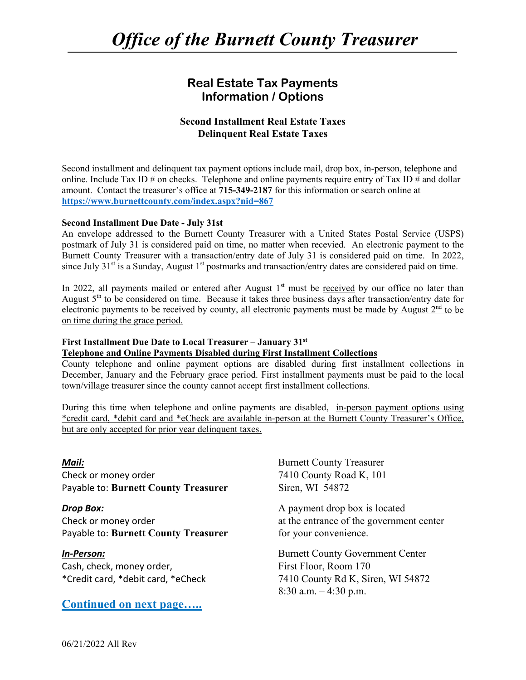### **Real Estate Tax Payments Information / Options**

#### **Second Installment Real Estate Taxes Delinquent Real Estate Taxes**

Second installment and delinquent tax payment options include mail, drop box, in-person, telephone and online. Include Tax ID  $\#$  on checks. Telephone and online payments require entry of Tax ID  $\#$  and dollar amount. Contact the treasurer's office at **715-349-2187** for this information or search online at **https://www.burnettcounty.com/index.aspx?nid=867**

#### **Second Installment Due Date - July 31st**

An envelope addressed to the Burnett County Treasurer with a United States Postal Service (USPS) postmark of July 31 is considered paid on time, no matter when recevied. An electronic payment to the Burnett County Treasurer with a transaction/entry date of July 31 is considered paid on time. In 2022, since July  $31<sup>st</sup>$  is a Sunday, August  $1<sup>st</sup>$  postmarks and transaction/entry dates are considered paid on time.

In 2022, all payments mailed or entered after August  $1<sup>st</sup>$  must be <u>received</u> by our office no later than August 5<sup>th</sup> to be considered on time. Because it takes three business days after transaction/entry date for electronic payments to be received by county, all electronic payments must be made by August  $2<sup>nd</sup>$  to be on time during the grace period.

#### **First Installment Due Date to Local Treasurer – January 31st**

#### **Telephone and Online Payments Disabled during First Installment Collections**

County telephone and online payment options are disabled during first installment collections in December, January and the February grace period. First installment payments must be paid to the local town/village treasurer since the county cannot accept first installment collections.

During this time when telephone and online payments are disabled, in-person payment options using \*credit card, \*debit card and \*eCheck are available in-person at the Burnett County Treasurer's Office, but are only accepted for prior year delinquent taxes.

*Mail:* Burnett County Treasurer Check or money order 7410 County Road K, 101 Payable to: **Burnett County Treasurer** Siren, WI 54872

Check or money order  $\alpha$  at the entrance of the government center Payable to: **Burnett County Treasurer** for your convenience.

Cash, check, money order, The Solem School (First Floor, Room 170

#### **Continued on next page…..**

*Drop Box:* **A** payment drop box is located

*In‐Person:* Burnett County Government Center \*Credit card, \*debit card, \*eCheck 7410 County Rd K, Siren, WI 54872 8:30 a.m. – 4:30 p.m.